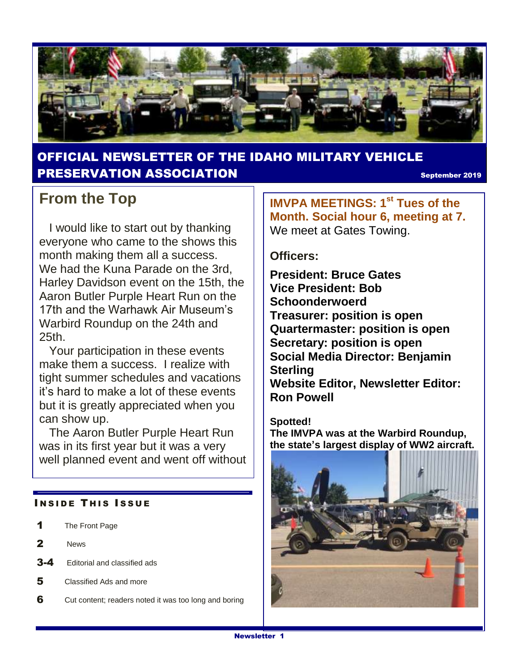

### OFFICIAL NEWSLETTER OF THE IDAHO MILITARY VEHICLE **PRESERVATION ASSOCIATION September 2019**

### **From the Top**

 I would like to start out by thanking everyone who came to the shows this month making them all a success. We had the Kuna Parade on the 3rd, Harley Davidson event on the 15th, the Aaron Butler Purple Heart Run on the 17th and the Warhawk Air Museum's Warbird Roundup on the 24th and 25th.

 Your participation in these events make them a success. I realize with tight summer schedules and vacations it's hard to make a lot of these events but it is greatly appreciated when you can show up.

 The Aaron Butler Purple Heart Run was in its first year but it was a very well planned event and went off without

### **INSIDE THIS ISSUE**

- 1 The Front Page
- 2 News
- 3-4 Editorial and classified ads
- 5 Classified Ads and more
- 6 Cut content; readers noted it was too long and boring

**IMVPA MEETINGS: 1st Tues of the Month. Social hour 6, meeting at 7.**  We meet at Gates Towing.

### **Officers:**

**President: Bruce Gates Vice President: Bob Schoonderwoerd Treasurer: position is open Quartermaster: position is open Secretary: position is open Social Media Director: Benjamin Sterling Website Editor, Newsletter Editor: Ron Powell**

### **Spotted!**

**The IMVPA was at the Warbird Roundup, the state's largest display of WW2 aircraft.**

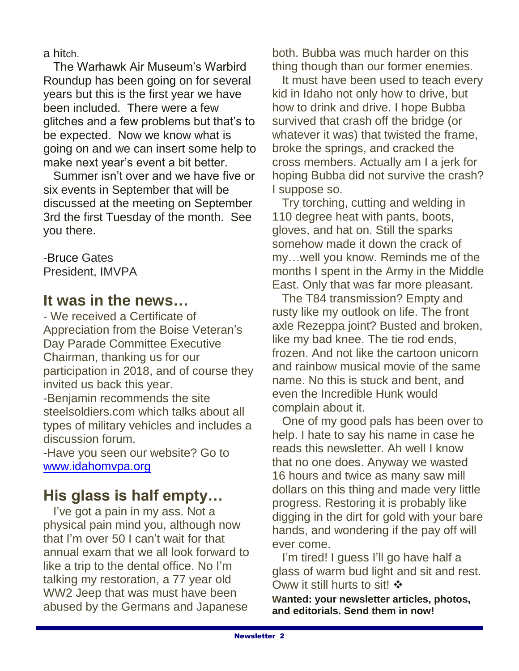a hitch.

 The Warhawk Air Museum's Warbird Roundup has been going on for several years but this is the first year we have been included. There were a few glitches and a few problems but that's to be expected. Now we know what is going on and we can insert some help to make next year's event a bit better.

 Summer isn't over and we have five or six events in September that will be discussed at the meeting on September 3rd the first Tuesday of the month. See you there.

-Bruce Gates President, IMVPA

### **It was in the news…**

- We received a Certificate of Appreciation from the Boise Veteran's Day Parade Committee Executive Chairman, thanking us for our participation in 2018, and of course they invited us back this year.

-Benjamin recommends the site steelsoldiers.com which talks about all types of military vehicles and includes a discussion forum.

-Have you seen our website? Go to [www.idahomvpa.org](http://www.idahomvpa.org/)

### **His glass is half empty…**

 I've got a pain in my ass. Not a physical pain mind you, although now that I'm over 50 I can't wait for that annual exam that we all look forward to like a trip to the dental office. No I'm talking my restoration, a 77 year old WW2 Jeep that was must have been abused by the Germans and Japanese

both. Bubba was much harder on this thing though than our former enemies.

 It must have been used to teach every kid in Idaho not only how to drive, but how to drink and drive. I hope Bubba survived that crash off the bridge (or whatever it was) that twisted the frame, broke the springs, and cracked the cross members. Actually am I a jerk for hoping Bubba did not survive the crash? I suppose so.

 Try torching, cutting and welding in 110 degree heat with pants, boots, gloves, and hat on. Still the sparks somehow made it down the crack of my…well you know. Reminds me of the months I spent in the Army in the Middle East. Only that was far more pleasant.

 The T84 transmission? Empty and rusty like my outlook on life. The front axle Rezeppa joint? Busted and broken, like my bad knee. The tie rod ends, frozen. And not like the cartoon unicorn and rainbow musical movie of the same name. No this is stuck and bent, and even the Incredible Hunk would complain about it.

 One of my good pals has been over to help. I hate to say his name in case he reads this newsletter. Ah well I know that no one does. Anyway we wasted 16 hours and twice as many saw mill dollars on this thing and made very little progress. Restoring it is probably like digging in the dirt for gold with your bare hands, and wondering if the pay off will ever come.

 I'm tired! I guess I'll go have half a glass of warm bud light and sit and rest. Oww it still hurts to sit! ❖

**wanted: your newsletter articles, photos, and editorials. Send them in now!**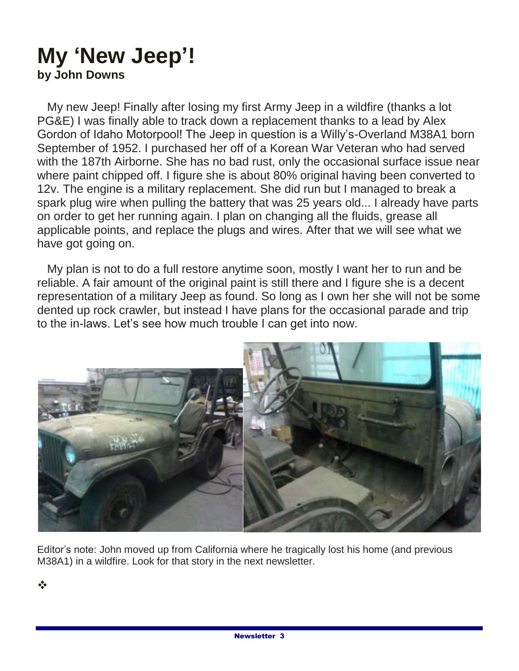### **My 'New Jeep'! by John Downs**

 My new Jeep! Finally after losing my first Army Jeep in a wildfire (thanks a lot PG&E) I was finally able to track down a replacement thanks to a lead by Alex Gordon of Idaho Motorpool! The Jeep in question is a Willy's-Overland M38A1 born September of 1952. I purchased her off of a Korean War Veteran who had served with the 187th Airborne. She has no bad rust, only the occasional surface issue near where paint chipped off. I figure she is about 80% original having been converted to 12v. The engine is a military replacement. She did run but I managed to break a spark plug wire when pulling the battery that was 25 years old... I already have parts on order to get her running again. I plan on changing all the fluids, grease all applicable points, and replace the plugs and wires. After that we will see what we have got going on.

 My plan is not to do a full restore anytime soon, mostly I want her to run and be reliable. A fair amount of the original paint is still there and I figure she is a decent representation of a military Jeep as found. So long as I own her she will not be some dented up rock crawler, but instead I have plans for the occasional parade and trip to the in-laws. Let's see how much trouble I can get into now.



Editor's note: John moved up from California where he tragically lost his home (and previous M38A1) in a wildfire. Look for that story in the next newsletter.

❖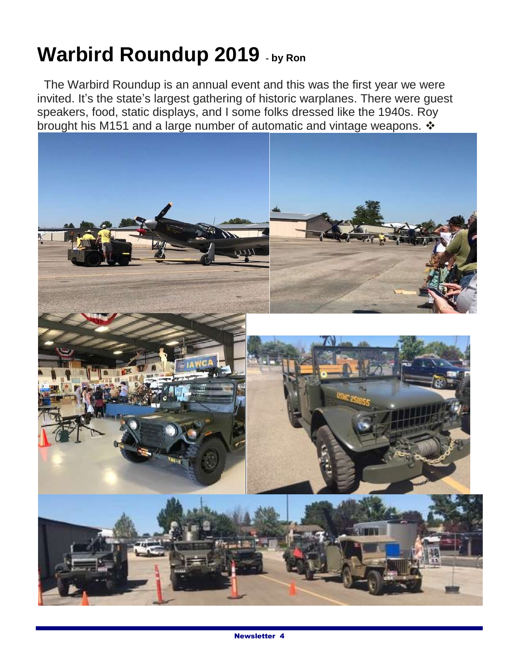# **Warbird Roundup 2019 - by Ron**

 The Warbird Roundup is an annual event and this was the first year we were invited. It's the state's largest gathering of historic warplanes. There were guest speakers, food, static displays, and I some folks dressed like the 1940s. Roy brought his M151 and a large number of automatic and vintage weapons.  $\cdot$ 

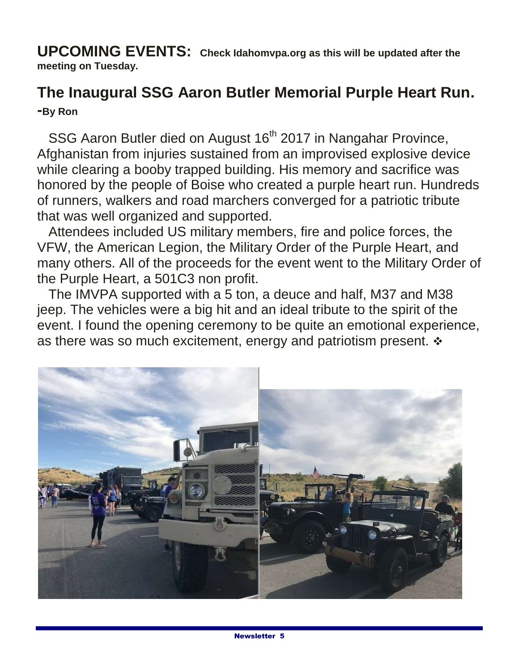**UPCOMING EVENTS: Check Idahomvpa.org as this will be updated after the meeting on Tuesday.**

### **The Inaugural SSG Aaron Butler Memorial Purple Heart Run. -By Ron**

SSG Aaron Butler died on August 16<sup>th</sup> 2017 in Nangahar Province, Afghanistan from injuries sustained from an improvised explosive device while clearing a booby trapped building. His memory and sacrifice was honored by the people of Boise who created a purple heart run. Hundreds of runners, walkers and road marchers converged for a patriotic tribute that was well organized and supported.

 Attendees included US military members, fire and police forces, the VFW, the American Legion, the Military Order of the Purple Heart, and many others. All of the proceeds for the event went to the Military Order of the Purple Heart, a 501C3 non profit.

 The IMVPA supported with a 5 ton, a deuce and half, M37 and M38 jeep. The vehicles were a big hit and an ideal tribute to the spirit of the event. I found the opening ceremony to be quite an emotional experience, as there was so much excitement, energy and patriotism present.  $\div$ 

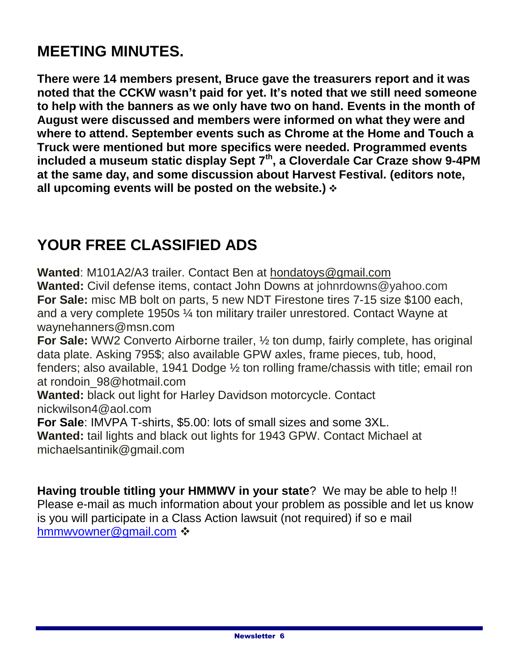# **MEETING MINUTES.**

**There were 14 members present, Bruce gave the treasurers report and it was noted that the CCKW wasn't paid for yet. It's noted that we still need someone to help with the banners as we only have two on hand. Events in the month of August were discussed and members were informed on what they were and where to attend. September events such as Chrome at the Home and Touch a Truck were mentioned but more specifics were needed. Programmed events included a museum static display Sept 7th , a Cloverdale Car Craze show 9-4PM at the same day, and some discussion about Harvest Festival. (editors note, all upcoming events will be posted on the website.)**

### **YOUR FREE CLASSIFIED ADS**

**Wanted**: M101A2/A3 trailer. Contact Ben at hondatoys@gmail.com **Wanted:** Civil defense items, contact John Downs at johnrdowns@yahoo.com **For Sale:** misc MB bolt on parts, 5 new NDT Firestone tires 7-15 size \$100 each, and a very complete 1950s ¼ ton military trailer unrestored. Contact Wayne at waynehanners@msn.com

**For Sale:** WW2 Converto Airborne trailer, ½ ton dump, fairly complete, has original data plate. Asking 795\$; also available GPW axles, frame pieces, tub, hood, fenders; also available, 1941 Dodge ½ ton rolling frame/chassis with title; email ron at rondoin\_98@hotmail.com

**Wanted:** black out light for Harley Davidson motorcycle. Contact nickwilson4@aol.com

**For Sale**: IMVPA T-shirts, \$5.00: lots of small sizes and some 3XL.

**Wanted:** tail lights and black out lights for 1943 GPW. Contact Michael at michaelsantinik@gmail.com

**Having trouble titling your HMMWV in your state**? We may be able to help !! Please e-mail as much information about your problem as possible and let us know is you will participate in a Class Action lawsuit (not required) if so e mail [hmmwvowner@gmail.com](mailto:hmmwvowner@gmail.com) ❖